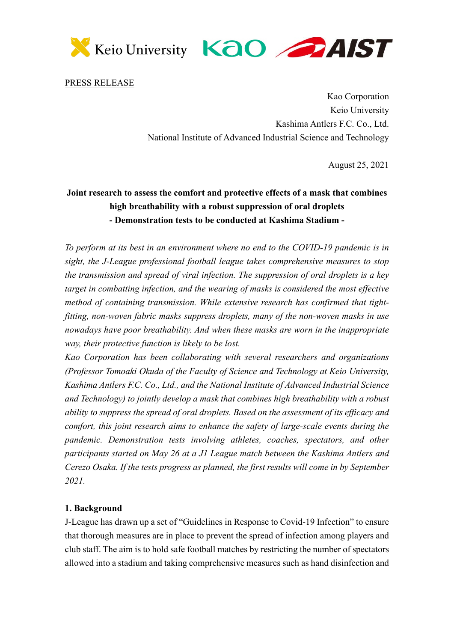



PRESS RELEASE

Kao Corporation Keio University Kashima Antlers F.C. Co., Ltd. National Institute of Advanced Industrial Science and Technology

August 25, 2021

## **Joint research to assess the comfort and protective effects of a mask that combines high breathability with a robust suppression of oral droplets - Demonstration tests to be conducted at Kashima Stadium -**

*To perform at its best in an environment where no end to the COVID-19 pandemic is in sight, the J-League professional football league takes comprehensive measures to stop the transmission and spread of viral infection. The suppression of oral droplets is a key target in combatting infection, and the wearing of masks is considered the most effective method of containing transmission. While extensive research has confirmed that tightfitting, non-woven fabric masks suppress droplets, many of the non-woven masks in use nowadays have poor breathability. And when these masks are worn in the inappropriate way, their protective function is likely to be lost.* 

*Kao Corporation has been collaborating with several researchers and organizations (Professor Tomoaki Okuda of the Faculty of Science and Technology at Keio University, Kashima Antlers F.C. Co., Ltd., and the National Institute of Advanced Industrial Science and Technology) to jointly develop a mask that combines high breathability with a robust ability to suppress the spread of oral droplets. Based on the assessment of its efficacy and comfort, this joint research aims to enhance the safety of large-scale events during the pandemic. Demonstration tests involving athletes, coaches, spectators, and other participants started on May 26 at a J1 League match between the Kashima Antlers and Cerezo Osaka. If the tests progress as planned, the first results will come in by September 2021.*

## **1. Background**

J-League has drawn up a set of "Guidelines in Response to Covid-19 Infection" to ensure that thorough measures are in place to prevent the spread of infection among players and club staff. The aim is to hold safe football matches by restricting the number of spectators allowed into a stadium and taking comprehensive measures such as hand disinfection and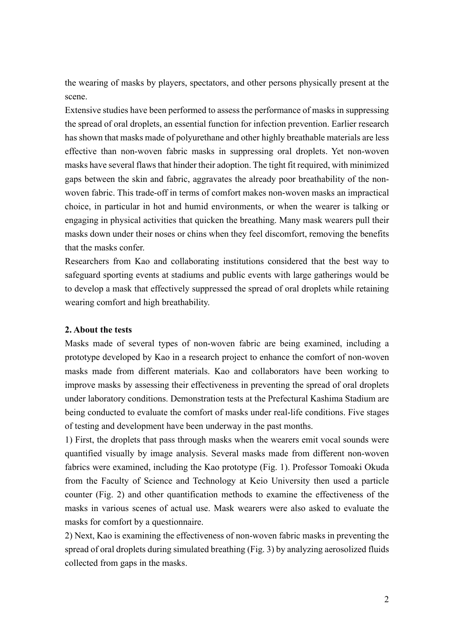the wearing of masks by players, spectators, and other persons physically present at the scene.

Extensive studies have been performed to assess the performance of masks in suppressing the spread of oral droplets, an essential function for infection prevention. Earlier research has shown that masks made of polyurethane and other highly breathable materials are less effective than non-woven fabric masks in suppressing oral droplets. Yet non-woven masks have several flaws that hinder their adoption. The tight fit required, with minimized gaps between the skin and fabric, aggravates the already poor breathability of the nonwoven fabric. This trade-off in terms of comfort makes non-woven masks an impractical choice, in particular in hot and humid environments, or when the wearer is talking or engaging in physical activities that quicken the breathing. Many mask wearers pull their masks down under their noses or chins when they feel discomfort, removing the benefits that the masks confer.

Researchers from Kao and collaborating institutions considered that the best way to safeguard sporting events at stadiums and public events with large gatherings would be to develop a mask that effectively suppressed the spread of oral droplets while retaining wearing comfort and high breathability.

## **2. About the tests**

Masks made of several types of non-woven fabric are being examined, including a prototype developed by Kao in a research project to enhance the comfort of non-woven masks made from different materials. Kao and collaborators have been working to improve masks by assessing their effectiveness in preventing the spread of oral droplets under laboratory conditions. Demonstration tests at the Prefectural Kashima Stadium are being conducted to evaluate the comfort of masks under real-life conditions. Five stages of testing and development have been underway in the past months.

1) First, the droplets that pass through masks when the wearers emit vocal sounds were quantified visually by image analysis. Several masks made from different non-woven fabrics were examined, including the Kao prototype (Fig. 1). Professor Tomoaki Okuda from the Faculty of Science and Technology at Keio University then used a particle counter (Fig. 2) and other quantification methods to examine the effectiveness of the masks in various scenes of actual use. Mask wearers were also asked to evaluate the masks for comfort by a questionnaire.

2) Next, Kao is examining the effectiveness of non-woven fabric masks in preventing the spread of oral droplets during simulated breathing (Fig. 3) by analyzing aerosolized fluids collected from gaps in the masks.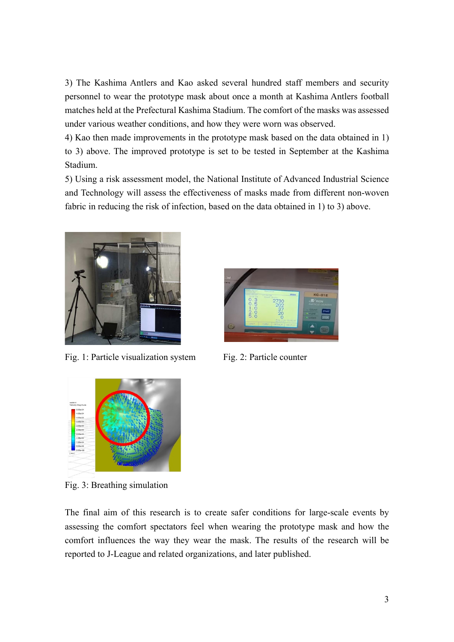3) The Kashima Antlers and Kao asked several hundred staff members and security personnel to wear the prototype mask about once a month at Kashima Antlers football matches held at the Prefectural Kashima Stadium. The comfort of the masks was assessed under various weather conditions, and how they were worn was observed.

4) Kao then made improvements in the prototype mask based on the data obtained in 1) to 3) above. The improved prototype is set to be tested in September at the Kashima Stadium.

5) Using a risk assessment model, the National Institute of Advanced Industrial Science and Technology will assess the effectiveness of masks made from different non-woven fabric in reducing the risk of infection, based on the data obtained in 1) to 3) above.



Fig. 1: Particle visualization system Fig. 2: Particle counter





Fig. 3: Breathing simulation

The final aim of this research is to create safer conditions for large-scale events by assessing the comfort spectators feel when wearing the prototype mask and how the comfort influences the way they wear the mask. The results of the research will be reported to J-League and related organizations, and later published.